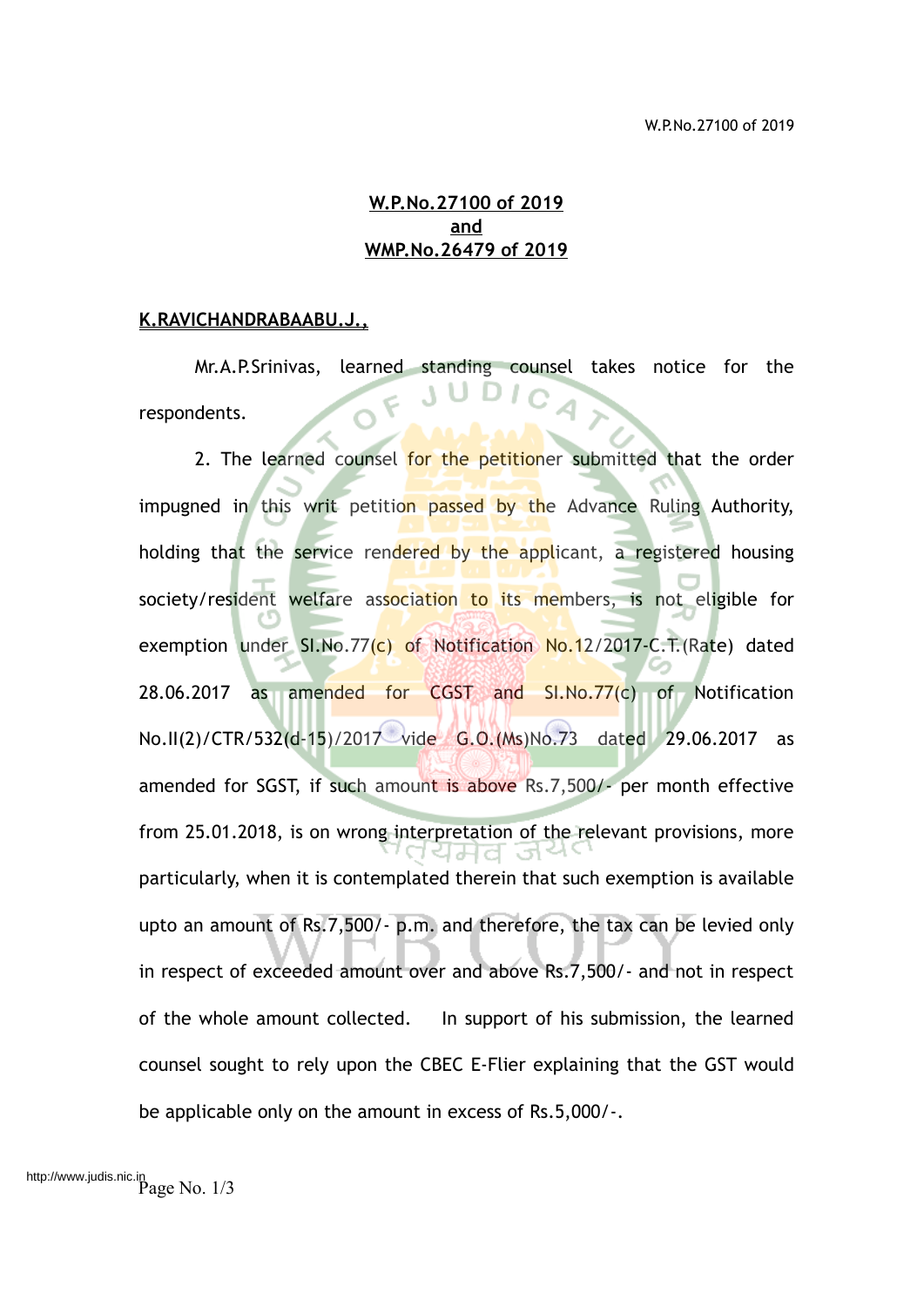### **W.P.No.27100 of 2019 and WMP.No.26479 of 2019**

#### **K.RAVICHANDRABAABU.J.,**

Mr.A.P.Srinivas, learned standing counsel takes notice for the respondents.

2. The learned counsel for the petitioner submitted that the order impugned in this writ petition passed by the Advance Ruling Authority, holding that the service rendered by the applicant, a registered housing society/resident welfare association to its members, is not eligible for exemption under SI.No.77(c) of Notification No.12/2017-C.T. (Rate) dated 28.06.2017 as amended for CGST and  $SI.No.77(c)$  of Notification No.II(2)/CTR/532(d-15)/2017 vide G.O.(Ms)No.73 dated 29.06.2017 as amended for SGST, if such amount is above Rs.7,500/- per month effective from 25.01.2018, is on wrong interpretation of the relevant provisions, more particularly, when it is contemplated therein that such exemption is available upto an amount of Rs.7,500/- p.m. and therefore, the tax can be levied only in respect of exceeded amount over and above Rs.7,500/- and not in respect of the whole amount collected. In support of his submission, the learned counsel sought to rely upon the CBEC E-Flier explaining that the GST would be applicable only on the amount in excess of Rs.5,000/-.

Page No. 1/3 http://www.judis.nic.in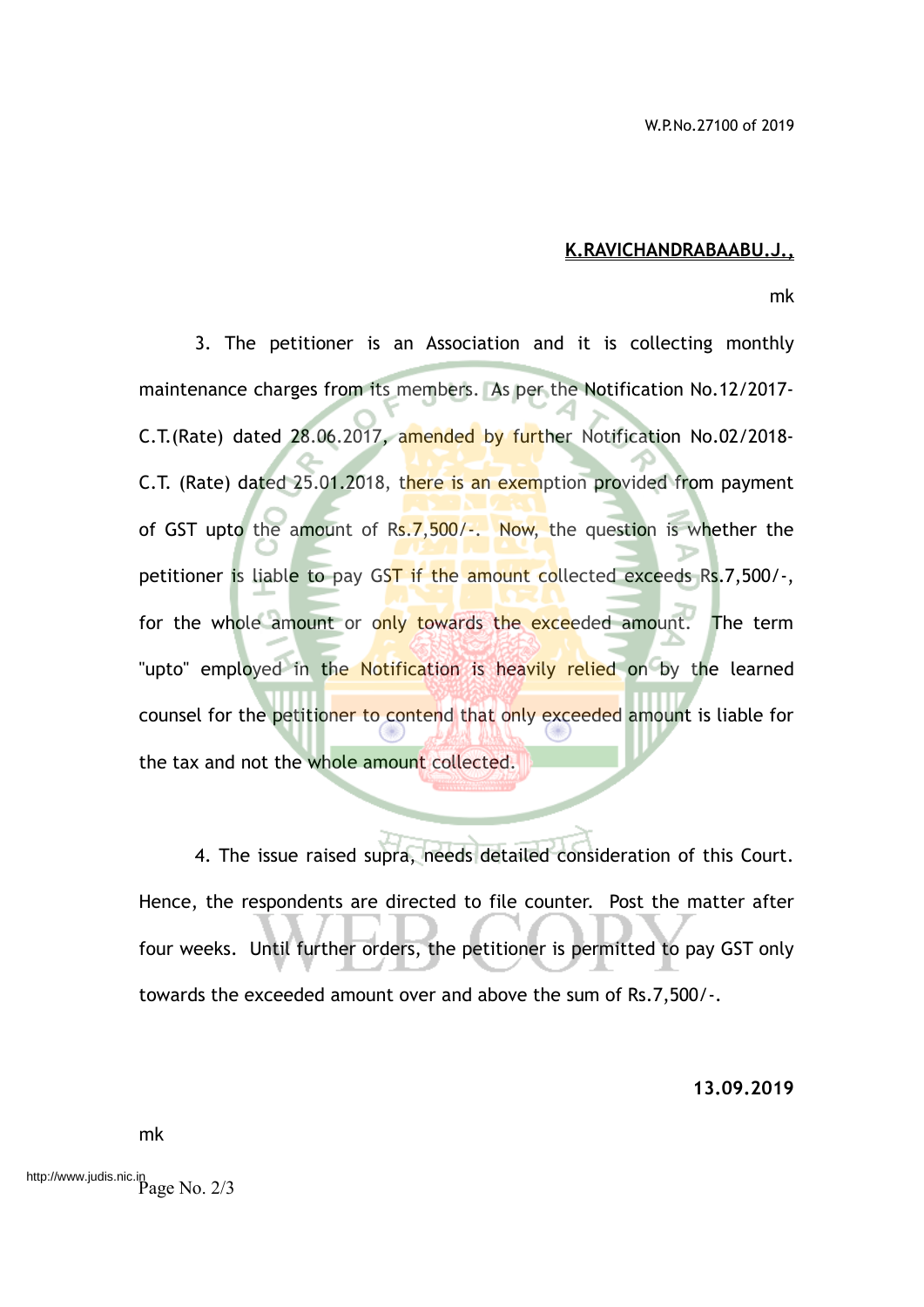#### **K.RAVICHANDRABAABU.J.,**

mk

3. The petitioner is an Association and it is collecting monthly maintenance charges from its members. As per the Notification No.12/2017- C.T.(Rate) dated 28.06.2017, amended by further Notification No.02/2018- C.T. (Rate) dated 25.01.2018, there is an exemption provided from payment of GST upto the amount of Rs.  $7,500/-.$  Now, the question is whether the petitioner is liable to pay GST if the amount collected exceeds Rs.7,500/-, for the whole amount or only towards the exceeded amount. The term "upto" employed in the Notification is heavily relied on by the learned counsel for the petitioner to contend that only exceeded amount is liable for the tax and not the whole amount collected.

4. The issue raised supra, needs detailed consideration of this Court. Hence, the respondents are directed to file counter. Post the matter after four weeks. Until further orders, the petitioner is permitted to pay GST only towards the exceeded amount over and above the sum of Rs.7,500/-.

**13.09.2019**

mk